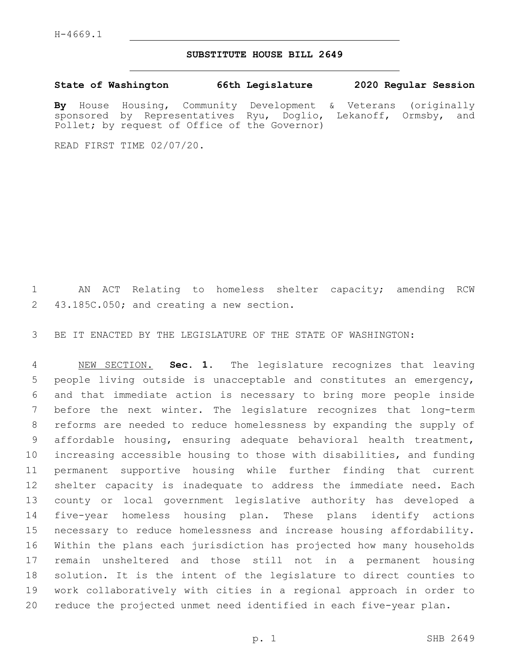## **SUBSTITUTE HOUSE BILL 2649**

**State of Washington 66th Legislature 2020 Regular Session By** House Housing, Community Development & Veterans (originally sponsored by Representatives Ryu, Doglio, Lekanoff, Ormsby, and

READ FIRST TIME 02/07/20.

Pollet; by request of Office of the Governor)

 AN ACT Relating to homeless shelter capacity; amending RCW 2 43.185C.050; and creating a new section.

BE IT ENACTED BY THE LEGISLATURE OF THE STATE OF WASHINGTON:

 NEW SECTION. **Sec. 1.** The legislature recognizes that leaving people living outside is unacceptable and constitutes an emergency, and that immediate action is necessary to bring more people inside before the next winter. The legislature recognizes that long-term reforms are needed to reduce homelessness by expanding the supply of affordable housing, ensuring adequate behavioral health treatment, increasing accessible housing to those with disabilities, and funding permanent supportive housing while further finding that current shelter capacity is inadequate to address the immediate need. Each county or local government legislative authority has developed a five-year homeless housing plan. These plans identify actions necessary to reduce homelessness and increase housing affordability. Within the plans each jurisdiction has projected how many households remain unsheltered and those still not in a permanent housing solution. It is the intent of the legislature to direct counties to work collaboratively with cities in a regional approach in order to reduce the projected unmet need identified in each five-year plan.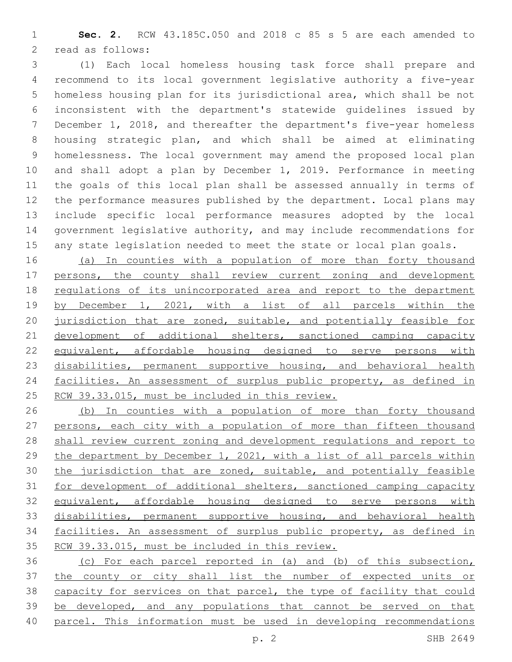**Sec. 2.** RCW 43.185C.050 and 2018 c 85 s 5 are each amended to 2 read as follows:

 (1) Each local homeless housing task force shall prepare and recommend to its local government legislative authority a five-year homeless housing plan for its jurisdictional area, which shall be not inconsistent with the department's statewide guidelines issued by December 1, 2018, and thereafter the department's five-year homeless housing strategic plan, and which shall be aimed at eliminating homelessness. The local government may amend the proposed local plan and shall adopt a plan by December 1, 2019. Performance in meeting the goals of this local plan shall be assessed annually in terms of the performance measures published by the department. Local plans may include specific local performance measures adopted by the local government legislative authority, and may include recommendations for any state legislation needed to meet the state or local plan goals.

 (a) In counties with a population of more than forty thousand persons, the county shall review current zoning and development regulations of its unincorporated area and report to the department by December 1, 2021, with a list of all parcels within the 20 jurisdiction that are zoned, suitable, and potentially feasible for 21 development of additional shelters, sanctioned camping capacity equivalent, affordable housing designed to serve persons with 23 disabilities, permanent supportive housing, and behavioral health 24 facilities. An assessment of surplus public property, as defined in RCW 39.33.015, must be included in this review.

 (b) In counties with a population of more than forty thousand persons, each city with a population of more than fifteen thousand shall review current zoning and development regulations and report to the department by December 1, 2021, with a list of all parcels within the jurisdiction that are zoned, suitable, and potentially feasible for development of additional shelters, sanctioned camping capacity equivalent, affordable housing designed to serve persons with 33 disabilities, permanent supportive housing, and behavioral health facilities. An assessment of surplus public property, as defined in RCW 39.33.015, must be included in this review.

 (c) For each parcel reported in (a) and (b) of this subsection, the county or city shall list the number of expected units or capacity for services on that parcel, the type of facility that could be developed, and any populations that cannot be served on that parcel. This information must be used in developing recommendations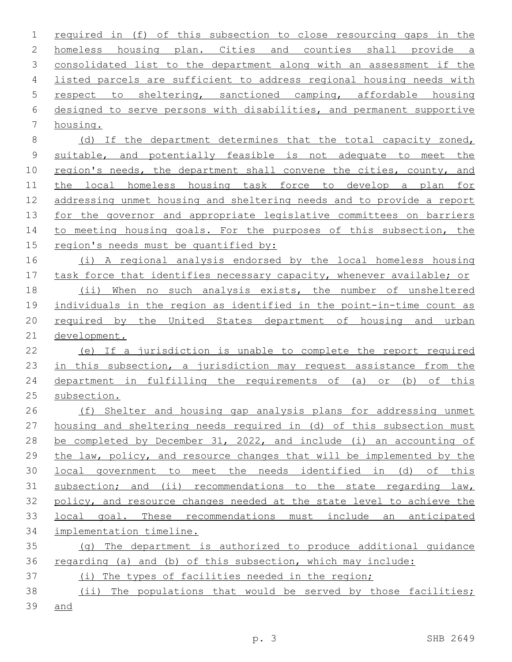required in (f) of this subsection to close resourcing gaps in the homeless housing plan. Cities and counties shall provide a consolidated list to the department along with an assessment if the listed parcels are sufficient to address regional housing needs with respect to sheltering, sanctioned camping, affordable housing designed to serve persons with disabilities, and permanent supportive 7 housing. (d) If the department determines that the total capacity zoned, suitable, and potentially feasible is not adequate to meet the region's needs, the department shall convene the cities, county, and the local homeless housing task force to develop a plan for addressing unmet housing and sheltering needs and to provide a report 13 for the governor and appropriate legislative committees on barriers 14 to meeting housing goals. For the purposes of this subsection, the region's needs must be quantified by: (i) A regional analysis endorsed by the local homeless housing task force that identifies necessary capacity, whenever available; or (ii) When no such analysis exists, the number of unsheltered individuals in the region as identified in the point-in-time count as 20 required by the United States department of housing and urban development. (e) If a jurisdiction is unable to complete the report required 23 in this subsection, a jurisdiction may request assistance from the department in fulfilling the requirements of (a) or (b) of this subsection. (f) Shelter and housing gap analysis plans for addressing unmet housing and sheltering needs required in (d) of this subsection must be completed by December 31, 2022, and include (i) an accounting of the law, policy, and resource changes that will be implemented by the local government to meet the needs identified in (d) of this subsection; and (ii) recommendations to the state regarding law, policy, and resource changes needed at the state level to achieve the local goal. These recommendations must include an anticipated implementation timeline. (g) The department is authorized to produce additional guidance regarding (a) and (b) of this subsection, which may include: (i) The types of facilities needed in the region; 38 (ii) The populations that would be served by those facilities;